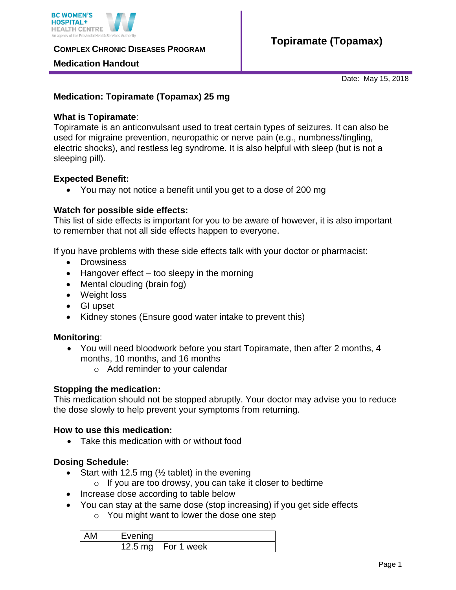

**COMPLEX CHRONIC DISEASES PROGRAM** 

## **Medication Handout**

Date: May 15, 2018

## **Medication: Topiramate (Topamax) 25 mg**

#### **What is Topiramate**:

Topiramate is an anticonvulsant used to treat certain types of seizures. It can also be used for migraine prevention, neuropathic or nerve pain (e.g., numbness/tingling, electric shocks), and restless leg syndrome. It is also helpful with sleep (but is not a sleeping pill).

## **Expected Benefit:**

You may not notice a benefit until you get to a dose of 200 mg

## **Watch for possible side effects:**

This list of side effects is important for you to be aware of however, it is also important to remember that not all side effects happen to everyone.

If you have problems with these side effects talk with your doctor or pharmacist:

- Drowsiness
- $\bullet$  Hangover effect too sleepy in the morning
- Mental clouding (brain fog)
- Weight loss
- GI upset
- Kidney stones (Ensure good water intake to prevent this)

#### **Monitoring**:

- You will need bloodwork before you start Topiramate, then after 2 months, 4 months, 10 months, and 16 months
	- o Add reminder to your calendar

#### **Stopping the medication:**

This medication should not be stopped abruptly. Your doctor may advise you to reduce the dose slowly to help prevent your symptoms from returning.

#### **How to use this medication:**

Take this medication with or without food

## **Dosing Schedule:**

- Start with 12.5 mg  $\frac{1}{2}$  tablet) in the evening
	- $\circ$  If you are too drowsy, you can take it closer to bedtime
- Increase dose according to table below
- You can stay at the same dose (stop increasing) if you get side effects
	- o You might want to lower the dose one step

| Evening |                      |
|---------|----------------------|
|         | 12.5 mg   For 1 week |